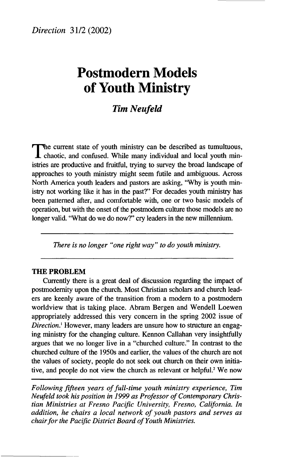# **Postmodern Models of Youth Ministry**

# *Tim Neufeld*

The current state of youth ministry can be described as tumultuous,<br>chaotic, and confused. While many individual and local youth minhe current state of youth ministry can be described as tumultuous, istries are productive and fruitful, trying to survey the broad landscape of approaches to youth ministry might seem futile and ambiguous. Across North America youth leaders and pastors are asking, "Why is youth ministry not working like it has in the past?" For decades youth ministry has been patterned after, and comfortable with, one or two basic models of operation, but with the onset of the postmodern culture those models are no longer valid. "What do we do now?" cry leaders in the new millennium.

*There is no longer "one right way" to do youth ministry.* 

#### **THE PROBLEM**

Currently there is a great deal of discussion regarding the impact of postmodernity upon the church. Most Christian scholars and church leaders are keenly aware of the transition from a modern to a postmodern worldview that is taking place. Abram Bergen and Wendell Loewen appropriately addressed this very concern in the spring 2002 issue of *Direction.<sup>1</sup>* However, many leaders are unsure how to structure an engaging ministry for the changing culture. Kennon Callahan very insightfully argues that we no longer live in a "churched culture." In contrast to the churched culture of the 1950s and earlier, the values of the church are not the values of society, people do not seek out church on their own initiative, and people do not view the church as relevant or helpful.<sup>2</sup> We now

*Following fifteen years of full-time youth ministry experience, Tim Neufeld took his position in 1999 as Professor of Contemporary Christian Ministries at Fresno Pacific University, Fresno, California. In addition, he chairs a local network of youth pastors and serves as chair for the Pacific District Board of Youth Ministries.*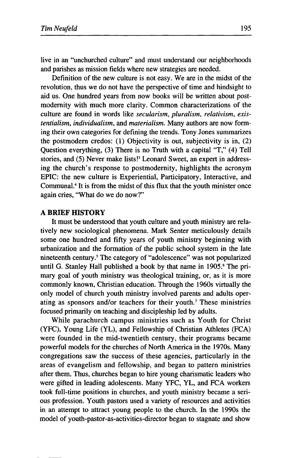live in an "unchurched culture" and must understand our neighborhoods and parishes as mission fields where new strategies are needed.

Definition of the new culture is not easy. We are in the midst of the revolution, thus we do not have the perspective of time and hindsight to aid us. One hundred years from now books will be written about postmodernity with much more clarity. Common characterizations of the culture are found in words like *secularism, pluralism, relativism, existentialism, individualism,* and *materialism.* Many authors are now forming their own categories for defining the trends. Tony Jones summarizes the postmodern credos: (1) Objectivity is out, subjectivity is in, (2) Question everything, (3) There is no Truth with a capital "T," (4) Tell stories, and (5) Never make lists!<sup>3</sup> Leonard Sweet, an expert in addressing the church's response to postmodernity, highlights the acronym EPIC: the new culture is Experiential, Participatory, Interactive, and Communal.<sup>4</sup> It is from the midst of this flux that the youth minister once again cries, "What do we do now?"

#### **A BRIEF HISTORY**

It must be understood that youth culture and youth ministry are relatively new sociological phenomena. Mark Senter meticulously details some one hundred and fifty years of youth ministry beginning with urbanization and the formation of the public school system in the late nineteenth century.<sup>5</sup> The category of "adolescence" was not popularized until G. Stanley Hall published a book by that name in 1905.<sup>6</sup> The primary goal of youth ministry was theological training, or, as it is more commonly known, Christian education. Through the 1960s virtually the only model of church youth ministry involved parents and adults operating as sponsors and/or teachers for their youth.<sup>7</sup> These ministries focused primarily on teaching and discipleship led by adults.

While parachurch campus ministries such as Youth for Christ (YFC), Young Life (YL), and Fellowship of Christian Athletes (FCA) were founded in the mid-twentieth century, their programs became powerful models for the churches of North America in the 1970s. Many congregations saw the success of these agencies, particularly in the areas of evangelism and fellowship, and began to pattern ministries after them. Thus, churches began to hire young charismatic leaders who were gifted in leading adolescents. Many YFC, YL, and FCA workers took full-time positions in churches, and youth ministry became a serious profession. Youth pastors used a variety of resources and activities in an attempt to attract young people to the church. In the 1990s the model of youth-pastor-as-activities-director began to stagnate and show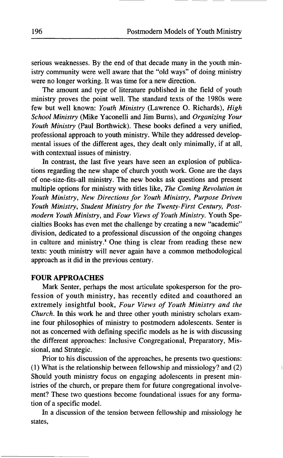serious weaknesses. By the end of that decade many in the youth ministry community were well aware that the "old ways" of doing ministry were no longer working. It was time for a new direction.

The amount and type of literature published in the field of youth ministry proves the point well. The standard texts of the 1980s were few but well known: *Youth Ministry* (Lawrence O. Richards), *High School Ministry* (Mike Yaconelli and Jim Burns), and *Organizing Your Youth Ministry* (Paul Borthwick). These books defined a very unified, professional approach to youth ministry. While they addressed developmental issues of the different ages, they dealt only minimally, if at all, with contextual issues of ministry.

In contrast, the last five years have seen an explosion of publications regarding the new shape of church youth work. Gone are the days of one-size-fits-all ministry. The new books ask questions and present multiple options for ministry with titles like, *The Coming Revolution in Youth Ministry, New Directions for Youth Ministry, Purpose Driven Youth Ministry, Student Ministry for the Twenty-First Century, Postmodern Youth Ministry,* and *Four Views of Youth Ministry.* Youth Specialties Books has even met the challenge by creating a new "academic" division, dedicated to a professional discussion of the ongoing changes in culture and ministry.<sup>8</sup> One thing is clear from reading these new texts: youth ministry will never again have a common methodological approach as it did in the previous century.

# **FOUR APPROACHES**

Mark Senter, perhaps the most articulate spokesperson for the profession of youth ministry, has recently edited and coauthored an extremely insightful book, *Four Views of Youth Ministry and the Church.* In this work he and three other youth ministry scholars examine four philosophies of ministry to postmodern adolescents. Senter is not as concerned with defining specific models as he is with discussing the different approaches: Inclusive Congregational, Preparatory, Missional, and Strategic.

Prior to his discussion of the approaches, he presents two questions: (1) What is the relationship between fellowship and missiology? and (2) Should youth ministry focus on engaging adolescents in present ministries of the church, or prepare them for future congregational involvement? These two questions become foundational issues for any formation of a specific model.

In a discussion of the tension between fellowship and missiology he states,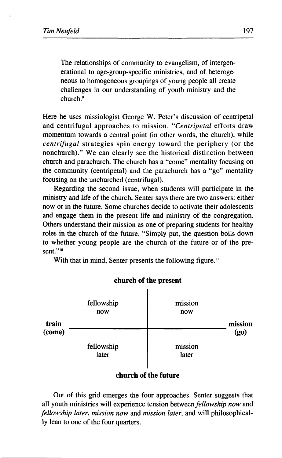The relationships of community to evangelism, of intergenerational to age-group-specific ministries, and of heterogeneous to homogeneous groupings of young people all create challenges in our understanding of youth ministry and the church.<sup>9</sup>

Here he uses missiologist George W. Peter's discussion of centripetal and centrifugal approaches to mission. *"Centripetal* efforts draw momentum towards a central point (in other words, the church), while *centrifugal* strategies spin energy toward the periphery (or the nonchurch)." We can clearly see the historical distinction between church and parachurch. The church has a "come" mentality focusing on the community (centripetal) and the parachurch has a "go" mentality focusing on the unchurched (centrifugal).

Regarding the second issue, when students will participate in the ministry and life of the church, Senter says there are two answers: either now or in the future. Some churches decide to activate their adolescents and engage them in the present life and ministry of the congregation. Others understand their mission as one of preparing students for healthy roles in the church of the future. "Simply put, the question boils down to whether young people are the church of the future or of the present."<sup>10</sup>

With that in mind, Senter presents the following figure.<sup>11</sup>



# church of the present

# **church of the future**

Out of this grid emerges the four approaches. Senter suggests that all youth ministries will experience tension between *fellowship now* and *fellowship later, mission now* and *mission later,* and will philosophically lean to one of the four quarters.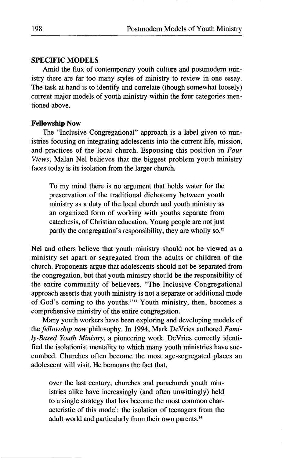# **SPECIFIC MODELS**

Amid the flux of contemporary youth culture and postmodern ministry there are far too many styles of ministry to review in one essay. The task at hand is to identify and correlate (though somewhat loosely) current major models of youth ministry within the four categories mentioned above.

## **Fellowship Now**

The "Inclusive Congregational" approach is a label given to ministries focusing on integrating adolescents into the current life, mission, and practices of the local church. Espousing this position in *Four Views,* Malan Nel believes that the biggest problem youth ministry faces today is its isolation from the larger church.

To my mind there is no argument that holds water for the preservation of the traditional dichotomy between youth ministry as a duty of the local church and youth ministry as an organized form of working with youths separate from catechesis, of Christian education. Young people are not just partly the congregation's responsibility, they are wholly so.<sup>12</sup>

Nel and others believe that youth ministry should not be viewed as a ministry set apart or segregated from the adults or children of the church. Proponents argue that adolescents should not be separated from the congregation, but that youth ministry should be the responsibility of the entire community of believers. "The Inclusive Congregational approach asserts that youth ministry is not a separate or additional mode of God's coming to the youths."<sup>13</sup> Youth ministry, then, becomes a comprehensive ministry of the entire congregation.

Many youth workers have been exploring and developing models of the *fellowship now* philosophy. In 1994, Mark DeVries authored *Family-Based Youth Ministry,* a pioneering work. DeVries correctly identified the isolationist mentality to which many youth ministries have succumbed. Churches often become the most age-segregated places an adolescent will visit. He bemoans the fact that,

over the last century, churches and parachurch youth ministries alike have increasingly (and often unwittingly) held to a single strategy that has become the most common characteristic of this model: the isolation of teenagers from the adult world and particularly from their own parents.<sup>14</sup>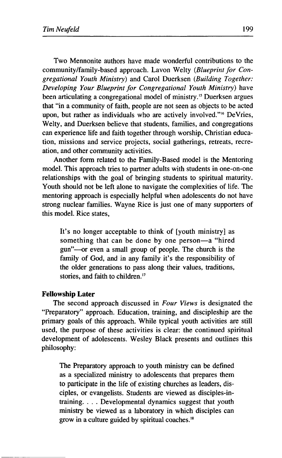Two Mennonite authors have made wonderful contributions to the community/family-based approach. Lavon Welty *(Blueprint for Congregational Youth Ministry)* and Carol Duerksen *(Building Together: Developing Your Blueprint for Congregational Youth Ministry)* have been articulating a congregational model of ministry.<sup>15</sup> Duerksen argues that "in a community of faith, people are not seen as objects to be acted upon, but rather as individuals who are actively involved."<sup>6</sup> DeVries, Welty, and Duerksen believe that students, families, and congregations can experience life and faith together through worship, Christian education, missions and service projects, social gatherings, retreats, recreation, and other community activities.

Another form related to the Family-Based model is the Mentoring model. This approach tries to partner adults with students in one-on-one relationships with the goal of bringing students to spiritual maturity. Youth should not be left alone to navigate the complexities of life. The mentoring approach is especially helpful when adolescents do not have strong nuclear families. Wayne Rice is just one of many supporters of this model. Rice states,

It's no longer acceptable to think of [youth ministry] as something that can be done by one person—a "hired gun"—or even a small group of people. The church is the family of God, and in any family it's the responsibility of the older generations to pass along their values, traditions, stories, and faith to children.<sup>17</sup>

#### **Fellowship Later**

The second approach discussed in *Four Views* is designated the "Preparatory" approach. Education, training, and discipleship are the primary goals of this approach. While typical youth activities are still used, the purpose of these activities is clear: the continued spiritual development of adolescents. Wesley Black presents and outlines this philosophy:

The Preparatory approach to youth ministry can be defined as a specialized ministry to adolescents that prepares them to participate in the life of existing churches as leaders, disciples, or evangelists. Students are viewed as disciples-intraining. . . . Developmental dynamics suggest that youth ministry be viewed as a laboratory in which disciples can grow in a culture guided by spiritual coaches.<sup>18</sup>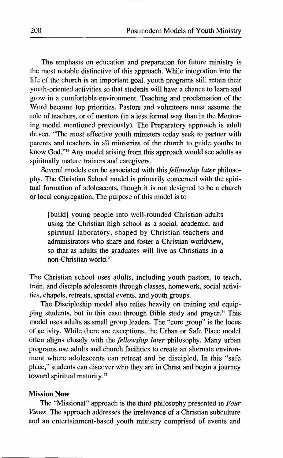The emphasis on education and preparation for future ministry is the most notable distinctive of this approach. While integration into the life of the church is an important goal, youth programs still retain their youth-oriented activities so that students will have a chance to learn and grow in a comfortable environment. Teaching and proclamation of the Word become top priorities. Pastors and volunteers must assume the role of teachers, or of mentors (in a less formal way than in the Mentoring model mentioned previously). The Preparatory approach is adult driven. "The most effective youth ministers today seek to partner with parents and teachers in all ministries of the church to guide youths to know God."<sup>19</sup> Any model arising from this approach would see adults as spiritually mature trainers and caregivers.

Several models can be associated with this *fellowship later* philosophy. The Christian School model is primarily concerned with the spiritual formation of adolescents, though it is not designed to be a church or local congregation. The purpose of this model is to

[build] young people into well-rounded Christian adults using the Christian high school as a social, academic, and spiritual laboratory, shaped by Christian teachers and administrators who share and foster a Christian worldview, so that as adults the graduates will live as Christians in a non-Christian world.<sup>20</sup>

The Christian school uses adults, including youth pastors, to teach, train, and disciple adolescents through classes, homework, social activities, chapels, retreats, special events, and youth groups.

The Discipleship model also relies heavily on training and equipping students, but in this case through Bible study and prayer.<sup>21</sup> This model uses adults as small group leaders. The "core group" is the locus of activity. While there are exceptions, the Urban or Safe Place model often aligns closely with the *fellowship later* philosophy. Many urban programs use adults and church facilities to create an alternate environment where adolescents can retreat and be discipled. In this "safe place," students can discover who they are in Christ and begin a journey toward spiritual maturity.<sup>22</sup>

## **Mission Now**

The "Missional" approach is the third philosophy presented in *Four Views.* The approach addresses the irrelevance of a Christian subculture and an entertainment-based youth ministry comprised of events and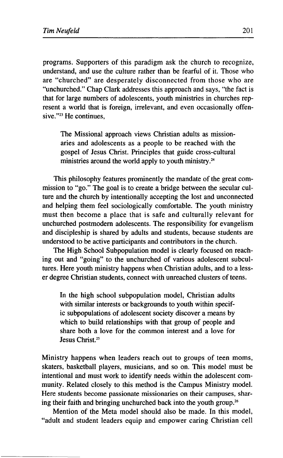programs. Supporters of this paradigm ask the church to recognize, understand, and use the culture rather than be fearful of it. Those who are "churched" are desperately disconnected from those who are "unchurched." Chap Clark addresses this approach and says, "the fact is that for large numbers of adolescents, youth ministries in churches represent a world that is foreign, irrelevant, and even occasionally offensive."<sup>23</sup> He continues,

The Missional approach views Christian adults as missionaries and adolescents as a people to be reached with the gospel of Jesus Christ. Principles that guide cross-cultural ministries around the world apply to youth ministry.<sup>24</sup>

This philosophy features prominently the mandate of the great commission to "go." The goal is to create a bridge between the secular culture and the church by intentionally accepting the lost and unconnected and helping them feel sociologically comfortable. The youth ministry must then become a place that is safe and culturally relevant for unchurched postmodern adolescents. The responsibility for evangelism and discipleship is shared by adults and students, because students are understood to be active participants and contributors in the church.

The High School Subpopulation model is clearly focused on reaching out and "going" to the unchurched of various adolescent subcultures. Here youth ministry happens when Christian adults, and to a lesser degree Christian students, connect with unreached clusters of teens.

In the high school subpopulation model, Christian adults with similar interests or backgrounds to youth within specific subpopulations of adolescent society discover a means by which to build relationships with that group of people and share both a love for the common interest and a love for Jesus Christ.<sup>25</sup>

Ministry happens when leaders reach out to groups of teen moms, skaters, basketball players, musicians, and so on. This model must be intentional and must work to identify needs within the adolescent community. Related closely to this method is the Campus Ministry model. Here students become passionate missionaries on their campuses, sharing their faith and bringing unchurched back into the youth group.<sup>26</sup>

Mention of the Meta model should also be made. In this model, "adult and student leaders equip and empower caring Christian cell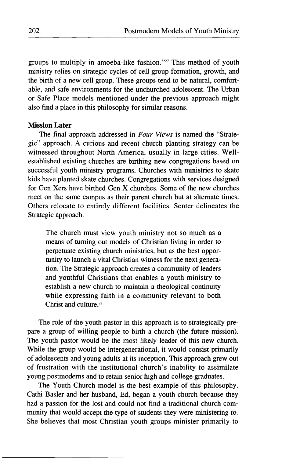groups to multiply in amoeba-like fashion."<sup>27</sup> This method of youth ministry relies on strategic cycles of cell group formation, growth, and the birth of a new cell group. These groups tend to be natural, comfortable, and safe environments for the unchurched adolescent. The Urban or Safe Place models mentioned under the previous approach might also find a place in this philosophy for similar reasons.

#### **Mission Later**

The final approach addressed in *Four Views* is named the "Strategic" approach. A curious and recent church planting strategy can be witnessed throughout North America, usually in large cities. Wellestablished existing churches are birthing new congregations based on successful youth ministry programs. Churches with ministries to skate kids have planted skate churches. Congregations with services designed for Gen Xers have birthed Gen X churches. Some of the new churches meet on the same campus as their parent church but at alternate times. Others relocate to entirely different facilities. Senter delineates the Strategic approach:

The church must view youth ministry not so much as a means of turning out models of Christian living in order to perpetuate existing church ministries, but as the best opportunity to launch a vital Christian witness for the next generation. The Strategic approach creates a community of leaders and youthful Christians that enables a youth ministry to establish a new church to maintain a theological continuity while expressing faith in a community relevant to both Christ and culture.<sup>28</sup>

The role of the youth pastor in this approach is to strategically prepare a group of willing people to birth a church (the future mission). The youth pastor would be the most likely leader of this new church. While the group would be intergenerational, it would consist primarily of adolescents and young adults at its inception. This approach grew out of frustration with the institutional church's inability to assimilate young postmoderns and to retain senior high and college graduates.

The Youth Church model is the best example of this philosophy. Cathi Basier and her husband, Ed, began a youth church because they had a passion for the lost and could not find a traditional church community that would accept the type of students they were ministering to. She believes that most Christian youth groups minister primarily to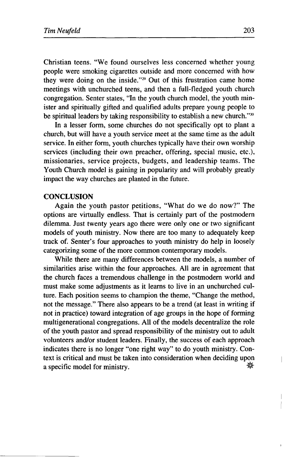Christian teens. "We found ourselves less concerned whether young people were smoking cigarettes outside and more concerned with how they were doing on the inside."<sup>29</sup> Out of this frustration came home meetings with unchurched teens, and then a full-fledged youth church congregation. Senter states, "In the youth church model, the youth minister and spiritually gifted and qualified adults prepare young people to be spiritual leaders by taking responsibility to establish a new church."<sup>30</sup>

In a lesser form, some churches do not specifically opt to plant a church, but will have a youth service meet at the same time as the adult service. In either form, youth churches typically have their own worship services (including their own preacher, offering, special music, etc.), missionaries, service projects, budgets, and leadership teams. The Youth Church model is gaining in popularity and will probably greatly impact the way churches are planted in the future.

# **CONCLUSION**

Again the youth pastor petitions, "What do we do now?" The options are virtually endless. That is certainly part of the postmodern dilemma. Just twenty years ago there were only one or two significant models of youth ministry. Now there are too many to adequately keep track of. Senter's four approaches to youth ministry do help in loosely categorizing some of the more common contemporary models.

While there are many differences between the models, a number of similarities arise within the four approaches. All are in agreement that the church faces a tremendous challenge in the postmodern world and must make some adjustments as it learns to live in an unchurched culture. Each position seems to champion the theme, "Change the method, not the message." There also appears to be a trend (at least in writing if not in practice) toward integration of age groups in the hope of forming multigenerational congregations. All of the models decentralize the role of the youth pastor and spread responsibility of the ministry out to adult volunteers and/or student leaders. Finally, the success of each approach indicates there is no longer "one right way" to do youth ministry. Context is critical and must be taken into consideration when deciding upon a specific model for ministry.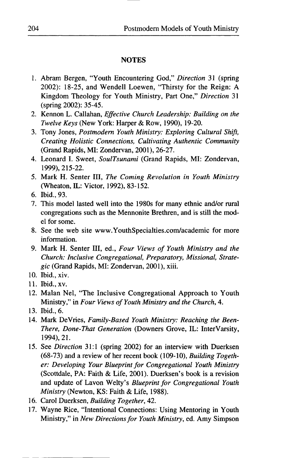## **NOTES**

- 1. Abram Bergen, "Youth Encountering God," *Direction* 31 (spring 2002): 18-25, and Wendell Loewen, "Thirsty for the Reign: A Kingdom Theology for Youth Ministry, Part One," *Direction* 31 (spring 2002): 35-45.
- 2. Kennon L. Callahan, *Effective Church Leadership: Building on the Twelve Keys* (New York: Harper & Row, 1990), 19-20.
- 3. Tony Jones, *Postmodern Youth Ministry: Exploring Cultural Shift, Creating Holistic Connections, Cultivating Authentic Community*  (Grand Rapids, MI: Zondervan, 2001), 26-27.
- 4. Leonard I. Sweet, *SoulTsunami* (Grand Rapids, MI: Zondervan, 1999), 215-22.
- 5. Mark H. Senter III, *The Coming Revolution in Youth Ministry*  (Wheaton, IL: Victor, 1992), 83-152.
- 6. Ibid., 93.
- 7. This model lasted well into the 1980s for many ethnic and/or rural congregations such as the Mennonite Brethren, and is still the model for some.
- 8. See the web site [www.YouthSpecialties.com/academic](http://www.YouthSpecialties.com/academic) for more information.
- 9. Mark H. Senter III, ed., *Four Views of Youth Ministry and the Church: Inclusive Congregational, Preparatory, Missional, Strategic* (Grand Rapids, MI: Zondervan, 2001), xiii.
- 10. Ibid., xiv.
- 11. Ibid., xv.
- 12. Malan Nel, "The Inclusive Congregational Approach to Youth Ministry," in *Four Views of Youth Ministry and the Church,* 4.
- 13. Ibid., 6.
- 14. Mark DeVries, *Family-Based Youth Ministry: Reaching the Been-There, Done-That Generation* (Downers Grove, IL: InterVarsity, 1994), 21.
- 15. See *Direction* 31:1 (spring 2002) for an interview with Duerksen (68-73) and a review of her recent book (109-10), *Building Together: Developing Your Blueprint for Congregational Youth Ministry*  (Scottdale, PA: Faith & Life, 2001). Duerksen's book is a revision and update of Lavon Welty's *Blueprint for Congregational Youth Ministry* (Newton, KS: Faith & Life, 1988).
- 16. Carol Duerksen, *Building Together,* 42.
- 17. Wayne Rice, "Intentional Connections: Using Mentoring in Youth Ministry," in *New Directions for Youth Ministry,* ed. Amy Simpson